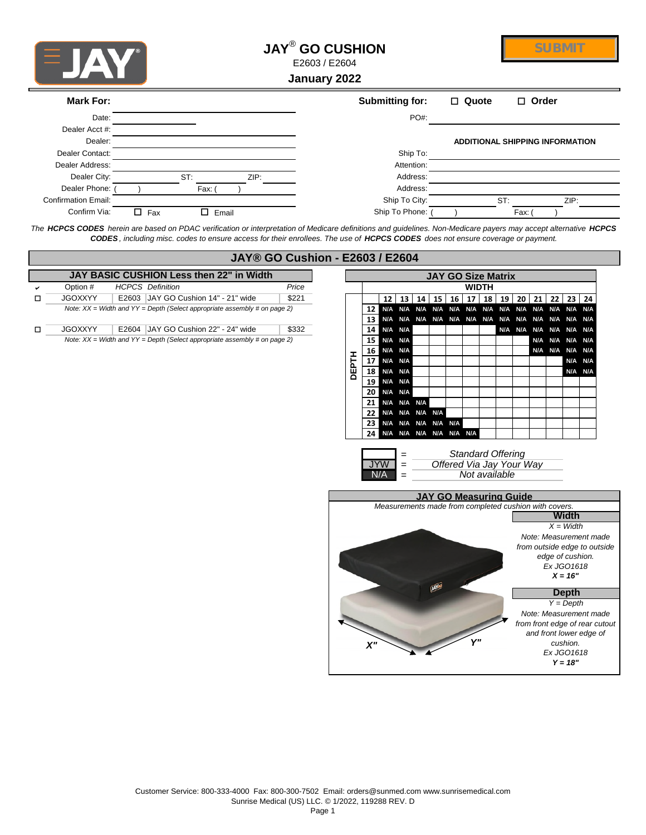

## **JAY**®  **GO CUSHION**

E2603 / E2604

**January 2022**

| Mark For:                  |            |       | Submitting for: | $\Box$ Quote | $\Box$ Order                           |
|----------------------------|------------|-------|-----------------|--------------|----------------------------------------|
| Date:                      |            |       | PO#:            |              |                                        |
| Dealer Acct #:             |            |       |                 |              |                                        |
| Dealer:                    |            |       |                 |              | <b>ADDITIONAL SHIPPING INFORMATION</b> |
| Dealer Contact:            |            |       | Ship To:        |              |                                        |
| Dealer Address:            |            |       | Attention:      |              |                                        |
| Dealer City:               | ST:        | ZIP:  | Address:        |              |                                        |
| Dealer Phone:              | Fax:       |       | Address:        |              |                                        |
| <b>Confirmation Email:</b> |            |       | Ship To City:   |              | ST:<br>ZIP:                            |
| Confirm Via:               | $\Box$ Fax | Email | Ship To Phone:  |              | Fax:                                   |

*The HCPCS CODES herein are based on PDAC verification or interpretation of Medicare definitions and guidelines. Non-Medicare payers may accept alternative HCPCS CODES , including misc. codes to ensure access for their enrollees. The use of HCPCS CODES does not ensure coverage or payment.*

|   |                |                                                                               | <b>JAY® GO Cushion - E2603 / E2604</b> |             |                 |                |         |  |                                              |  |  |                          |  |  |                          |                                                                |         |  |
|---|----------------|-------------------------------------------------------------------------------|----------------------------------------|-------------|-----------------|----------------|---------|--|----------------------------------------------|--|--|--------------------------|--|--|--------------------------|----------------------------------------------------------------|---------|--|
|   |                | JAY BASIC CUSHION Less then 22" in Width                                      |                                        |             |                 |                |         |  | <b>JAY GO Size Matrix</b>                    |  |  |                          |  |  |                          |                                                                |         |  |
|   | Option #       | <b>WIDTH</b>                                                                  |                                        |             |                 |                |         |  |                                              |  |  |                          |  |  |                          |                                                                |         |  |
| □ | <b>JGOXXYY</b> | E2603 JAY GO Cushion 14" - 21" wide                                           | \$221                                  |             |                 |                |         |  |                                              |  |  |                          |  |  |                          | 12   13   14   15   16   17   18   19   20   21   22   23   24 |         |  |
|   |                | Note: $XX = Width$ and $YY = Depth$ (Select appropriate assembly # on page 2) |                                        |             | 12 <sub>1</sub> |                |         |  |                                              |  |  |                          |  |  |                          |                                                                |         |  |
|   |                |                                                                               |                                        |             |                 |                |         |  |                                              |  |  |                          |  |  |                          |                                                                |         |  |
| □ | <b>JGOXXYY</b> | E2604 JAY GO Cushion 22" - 24" wide                                           | \$332                                  |             |                 | 14 N/A N/A     |         |  |                                              |  |  |                          |  |  |                          | N/A N/A N/A N/A N/A N/A                                        |         |  |
|   |                | Note: $XX = Width$ and $YY = Depth$ (Select appropriate assembly # on page 2) |                                        |             |                 | 15 N/A N/A     |         |  |                                              |  |  |                          |  |  |                          | N/A N/A N/A N/A                                                |         |  |
|   |                |                                                                               |                                        |             |                 | 16 N/A N/A     |         |  |                                              |  |  |                          |  |  |                          | N/A N/A N/A N/A                                                |         |  |
|   |                |                                                                               |                                        | <b>HLA3</b> | 17 <sup>1</sup> |                | N/A N/A |  |                                              |  |  |                          |  |  |                          |                                                                | N/A N/A |  |
|   |                |                                                                               |                                        | $\Omega$    | 18 <sup>1</sup> |                | N/A N/A |  |                                              |  |  |                          |  |  |                          |                                                                | N/A N/A |  |
|   |                |                                                                               |                                        |             |                 | 19 N/A N/A     |         |  |                                              |  |  |                          |  |  |                          |                                                                |         |  |
|   |                |                                                                               |                                        |             |                 | 20 N/A N/A     |         |  |                                              |  |  |                          |  |  |                          |                                                                |         |  |
|   |                |                                                                               |                                        |             |                 | 21 N/A N/A N/A |         |  |                                              |  |  |                          |  |  |                          |                                                                |         |  |
|   |                |                                                                               |                                        |             |                 |                |         |  | 22 N/A N/A N/A N/A<br>23 N/A N/A N/A N/A N/A |  |  |                          |  |  |                          |                                                                |         |  |
|   |                |                                                                               |                                        |             |                 |                |         |  | 24 N/A N/A N/A N/A N/A N/A                   |  |  |                          |  |  |                          |                                                                |         |  |
|   |                |                                                                               |                                        |             |                 |                |         |  |                                              |  |  |                          |  |  |                          |                                                                |         |  |
|   |                |                                                                               |                                        |             |                 |                | $=$     |  |                                              |  |  | <b>Standard Offering</b> |  |  |                          |                                                                |         |  |
|   |                |                                                                               |                                        |             |                 | <b>JYW</b>     | $=$     |  |                                              |  |  |                          |  |  | Offered Via Jay Your Way |                                                                |         |  |
|   |                |                                                                               |                                        |             |                 | N/A            | $=$     |  |                                              |  |  | Not available            |  |  |                          |                                                                |         |  |
|   |                |                                                                               |                                        |             |                 |                |         |  |                                              |  |  |                          |  |  |                          |                                                                |         |  |
|   |                |                                                                               |                                        |             |                 |                |         |  | <b>JAY GO Measuring Guide</b>                |  |  |                          |  |  |                          |                                                                |         |  |
|   |                |                                                                               |                                        |             |                 |                |         |  |                                              |  |  |                          |  |  |                          | Measurements made from completed cushion with covers.          |         |  |



**SUBMIT**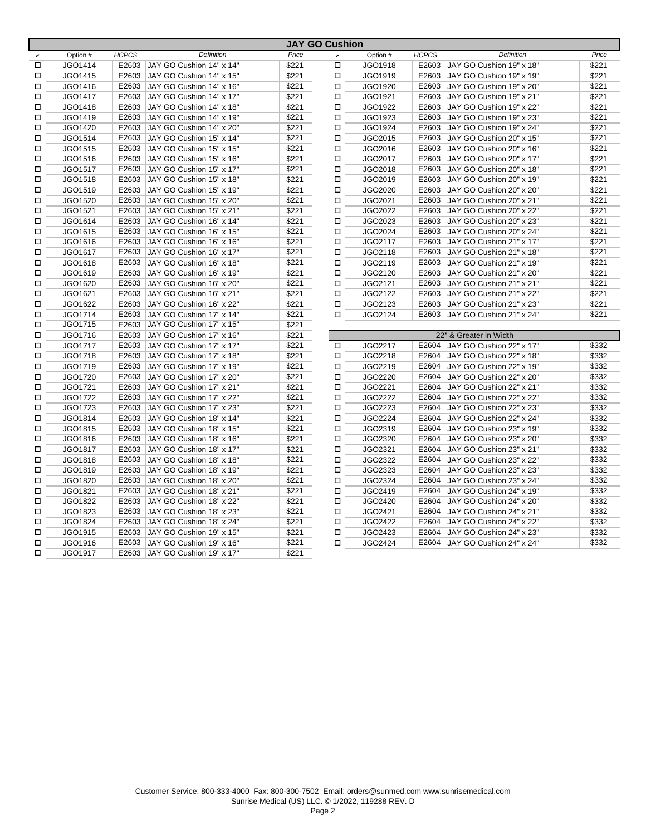|        |                |              |                          |       | JAY GO CUSNION |          |              |                        |
|--------|----------------|--------------|--------------------------|-------|----------------|----------|--------------|------------------------|
|        | Option #       | <b>HCPCS</b> | Definition               | Price | v              | Option # | <b>HCPCS</b> | Defir                  |
| □      | JGO1414        | E2603        | JAY GO Cushion 14" x 14" | \$221 | □              | JGO1918  | E2603        | JAY GO Cushion 1       |
| □      | JGO1415        | E2603        | JAY GO Cushion 14" x 15" | \$221 | □              | JGO1919  | E2603        | JAY GO Cushion 1       |
| □      | JGO1416        | E2603        | JAY GO Cushion 14" x 16" | \$221 | $\Box$         | JGO1920  | E2603        | JAY GO Cushion 1       |
| □      | JGO1417        | E2603        | JAY GO Cushion 14" x 17" | \$221 | $\Box$         | JGO1921  | E2603        | JAY GO Cushion 1       |
| $\Box$ | JGO1418        | E2603        | JAY GO Cushion 14" x 18" | \$221 | $\Box$         | JGO1922  | E2603        | JAY GO Cushion 1       |
| □      | JGO1419        | E2603        | JAY GO Cushion 14" x 19" | \$221 | $\Box$         | JGO1923  | E2603        | JAY GO Cushion 1       |
| $\Box$ | JGO1420        | E2603        | JAY GO Cushion 14" x 20" | \$221 | $\Box$         | JGO1924  | E2603        | JAY GO Cushion 1       |
| □      | JGO1514        | E2603        | JAY GO Cushion 15" x 14" | \$221 | $\Box$         | JGO2015  | E2603        | JAY GO Cushion 2       |
| $\Box$ | JGO1515        | E2603        | JAY GO Cushion 15" x 15" | \$221 | $\Box$         | JGO2016  | E2603        | JAY GO Cushion 2       |
| □      | JGO1516        | E2603        | JAY GO Cushion 15" x 16" | \$221 | $\Box$         | JGO2017  | E2603        | JAY GO Cushion 2       |
| □      | JGO1517        | E2603        | JAY GO Cushion 15" x 17" | \$221 | $\Box$         | JGO2018  | E2603        | JAY GO Cushion 2       |
| □      | JGO1518        | E2603        | JAY GO Cushion 15" x 18" | \$221 | □              | JGO2019  | E2603        | JAY GO Cushion 2       |
| □      | JGO1519        | E2603        | JAY GO Cushion 15" x 19" | \$221 | О              | JGO2020  | E2603        | JAY GO Cushion 2       |
| □      | JGO1520        | E2603        | JAY GO Cushion 15" x 20" | \$221 | □              | JGO2021  | E2603        | JAY GO Cushion 2       |
| □      | JGO1521        | E2603        | JAY GO Cushion 15" x 21" | \$221 | □              | JGO2022  | E2603        | JAY GO Cushion 2       |
| □      | JGO1614        | E2603        | JAY GO Cushion 16" x 14" | \$221 | □              | JGO2023  | E2603        | JAY GO Cushion 2       |
| □      | JGO1615        | E2603        | JAY GO Cushion 16" x 15" | \$221 | $\Box$         | JGO2024  | E2603        | JAY GO Cushion 2       |
| □      | JGO1616        | E2603        | JAY GO Cushion 16" x 16" | \$221 | □              | JGO2117  | E2603        | JAY GO Cushion 2       |
| □      | JGO1617        | E2603        | JAY GO Cushion 16" x 17" | \$221 | □              | JGO2118  | E2603        | JAY GO Cushion 2       |
| П      | JGO1618        | E2603        | JAY GO Cushion 16" x 18" | \$221 | $\Box$         | JGO2119  | E2603        | JAY GO Cushion 2       |
| □      | JGO1619        | E2603        | JAY GO Cushion 16" x 19" | \$221 | $\Box$         | JGO2120  | E2603        | JAY GO Cushion 2       |
| □      | JGO1620        | E2603        | JAY GO Cushion 16" x 20" | \$221 | $\Box$         | JGO2121  | E2603        | JAY GO Cushion 2       |
| □      | JGO1621        | E2603        | JAY GO Cushion 16" x 21" | \$221 | □              | JGO2122  | E2603        | JAY GO Cushion 2       |
| □      | JGO1622        | E2603        | JAY GO Cushion 16" x 22" | \$221 | $\Box$         | JGO2123  | E2603        | JAY GO Cushion 2       |
| □      | JGO1714        | E2603        | JAY GO Cushion 17" x 14" | \$221 | □              | JGO2124  | E2603        | JAY GO Cushion 2       |
| □      | JGO1715        | E2603        | JAY GO Cushion 17" x 15" | \$221 |                |          |              |                        |
| □      | JGO1716        | E2603        | JAY GO Cushion 17" x 16" | \$221 |                |          |              | 22" & Greater in Width |
| □      | JGO1717        | E2603        | JAY GO Cushion 17" x 17" | \$221 | $\Box$         | JGO2217  | E2604        | JAY GO Cushion 2       |
| $\Box$ | JGO1718        | E2603        | JAY GO Cushion 17" x 18" | \$221 | $\Box$         | JGO2218  | E2604        | JAY GO Cushion 2       |
| П      | JGO1719        | E2603        | JAY GO Cushion 17" x 19" | \$221 | $\Box$         | JGO2219  | E2604        | JAY GO Cushion 2       |
| П      | JGO1720        | E2603        | JAY GO Cushion 17" x 20" | \$221 | $\Box$         | JGO2220  | E2604        | JAY GO Cushion 2       |
| □      | JGO1721        | E2603        | JAY GO Cushion 17" x 21" | \$221 | $\Box$         | JGO2221  | E2604        | JAY GO Cushion 2       |
| □      | JGO1722        | E2603        | JAY GO Cushion 17" x 22" | \$221 | $\Box$         | JGO2222  | E2604        | JAY GO Cushion 2       |
| □      | JGO1723        | E2603        | JAY GO Cushion 17" x 23" | \$221 | $\Box$         | JGO2223  | E2604        | JAY GO Cushion 2       |
| □      | JGO1814        | E2603        | JAY GO Cushion 18" x 14" | \$221 | $\Box$         | JGO2224  | E2604        | JAY GO Cushion 2       |
| □      | JGO1815        | E2603        | JAY GO Cushion 18" x 15" | \$221 | □              | JGO2319  | E2604        | JAY GO Cushion 2       |
| □      | JGO1816        | E2603        | JAY GO Cushion 18" x 16" | \$221 | о              | JGO2320  | E2604        | JAY GO Cushion 2       |
| □      | JGO1817        | E2603        | JAY GO Cushion 18" x 17" | \$221 | □              | JGO2321  | E2604        | JAY GO Cushion 2       |
| □      | JGO1818        | E2603        | JAY GO Cushion 18" x 18" | \$221 | □              | JGO2322  | E2604        | JAY GO Cushion 2       |
| □      | JGO1819        | E2603        | JAY GO Cushion 18" x 19" | \$221 | $\Box$         | JGO2323  | E2604        | JAY GO Cushion 2       |
|        |                | E2603        |                          | \$221 | $\Box$         | JGO2324  | E2604        |                        |
| □      | JGO1820        | E2603        | JAY GO Cushion 18" x 20" | \$221 |                |          | E2604        | JAY GO Cushion 2       |
| □      | JGO1821        |              | JAY GO Cushion 18" x 21" |       | $\Box$         | JGO2419  |              | JAY GO Cushion 2       |
| □      | JGO1822        | E2603        | JAY GO Cushion 18" x 22" | \$221 | $\Box$         | JGO2420  | E2604        | JAY GO Cushion 2       |
| □      | JGO1823        | E2603        | JAY GO Cushion 18" x 23" | \$221 | □              | JGO2421  | E2604        | JAY GO Cushion 2       |
| □      | JGO1824        | E2603        | JAY GO Cushion 18" x 24" | \$221 | □              | JGO2422  | E2604        | JAY GO Cushion 2       |
| □      | JGO1915        | E2603        | JAY GO Cushion 19" x 15" | \$221 | $\Box$         | JGO2423  | E2604        | JAY GO Cushion 2       |
| □      | JGO1916        | E2603        | JAY GO Cushion 19" x 16" | \$221 | □              | JGO2424  | E2604        | JAY GO Cushion 2       |
| П      | <b>JGO1917</b> | E2603        | JAY GO Cushion 19" x 17" | \$221 |                |          |              |                        |

| <b>JAY GO Cushion</b> |              |                                |       |              |          |              |                                |       |  |  |  |
|-----------------------|--------------|--------------------------------|-------|--------------|----------|--------------|--------------------------------|-------|--|--|--|
| Option #              | <b>HCPCS</b> | <b>Definition</b>              | Price | $\checkmark$ | Option # | <b>HCPCS</b> | Definition                     | Price |  |  |  |
| JGO1414               | E2603        | JAY GO Cushion 14" x 14"       | \$221 | П            | JGO1918  | E2603        | JAY GO Cushion 19" x 18"       | \$221 |  |  |  |
| JGO1415               | E2603        | JAY GO Cushion 14" x 15"       | \$221 | П            | JGO1919  | E2603        | JAY GO Cushion 19" x 19"       | \$221 |  |  |  |
| JGO1416               | E2603        | JAY GO Cushion 14" x 16"       | \$221 | П            | JGO1920  | E2603        | JAY GO Cushion 19" x 20"       | \$221 |  |  |  |
| JGO1417               | E2603        | JAY GO Cushion 14" x 17"       | \$221 | П            | JGO1921  | E2603        | JAY GO Cushion 19" x 21"       | \$221 |  |  |  |
| JGO1418               | E2603        | JAY GO Cushion 14" x 18"       | \$221 | □            | JGO1922  | E2603        | JAY GO Cushion 19" x 22"       | \$221 |  |  |  |
| JGO1419               | E2603        | JAY GO Cushion 14" x 19"       | \$221 | П            | JGO1923  |              | E2603 JAY GO Cushion 19" x 23" | \$221 |  |  |  |
| JGO1420               | E2603        | JAY GO Cushion 14" x 20"       | \$221 | $\Box$       | JGO1924  | E2603        | JAY GO Cushion 19" x 24"       | \$221 |  |  |  |
| JGO1514               | E2603        | JAY GO Cushion 15" x 14"       | \$221 | $\Box$       | JGO2015  | E2603        | JAY GO Cushion 20" x 15"       | \$221 |  |  |  |
| JGO1515               | E2603        | JAY GO Cushion 15" x 15"       | \$221 | $\Box$       | JGO2016  | E2603        | JAY GO Cushion 20" x 16"       | \$221 |  |  |  |
| JGO1516               | E2603        | JAY GO Cushion 15" x 16"       | \$221 | П            | JGO2017  | E2603        | JAY GO Cushion 20" x 17"       | \$221 |  |  |  |
| JGO1517               | E2603        | JAY GO Cushion 15" x 17"       | \$221 | □            | JGO2018  | E2603        | JAY GO Cushion 20" x 18"       | \$221 |  |  |  |
| JGO1518               | E2603        | JAY GO Cushion 15" x 18"       | \$221 | П            | JGO2019  | E2603        | JAY GO Cushion 20" x 19"       | \$221 |  |  |  |
| JGO1519               | E2603        | JAY GO Cushion 15" x 19"       | \$221 | □            | JGO2020  | E2603        | JAY GO Cushion 20" x 20"       | \$221 |  |  |  |
| JGO1520               | E2603        | JAY GO Cushion 15" x 20"       | \$221 | П            | JGO2021  | E2603        | JAY GO Cushion 20" x 21"       | \$221 |  |  |  |
| JGO1521               | E2603        | JAY GO Cushion 15" x 21"       | \$221 | П            | JGO2022  | E2603        | JAY GO Cushion 20" x 22"       | \$221 |  |  |  |
| JGO1614               | E2603        | JAY GO Cushion 16" x 14"       | \$221 | П            | JGO2023  |              | E2603 JAY GO Cushion 20" x 23" | \$221 |  |  |  |
| JGO1615               | E2603        | JAY GO Cushion 16" x 15"       | \$221 | П            | JGO2024  | E2603        | JAY GO Cushion 20" x 24"       | \$221 |  |  |  |
| JGO1616               | E2603        | JAY GO Cushion 16" x 16"       | \$221 | П            | JGO2117  | E2603        | JAY GO Cushion 21" x 17"       | \$221 |  |  |  |
| JGO1617               |              | E2603 JAY GO Cushion 16" x 17" | \$221 | П            | JGO2118  | E2603        | JAY GO Cushion 21" x 18"       | \$221 |  |  |  |
| JGO1618               | E2603        | JAY GO Cushion 16" x 18"       | \$221 | П            | JGO2119  | E2603        | JAY GO Cushion 21" x 19"       | \$221 |  |  |  |
| JGO1619               | E2603        | JAY GO Cushion 16" x 19"       | \$221 | □            | JGO2120  | E2603        | JAY GO Cushion 21" x 20"       | \$221 |  |  |  |
| JGO1620               | E2603        | JAY GO Cushion 16" x 20"       | \$221 | Д            | JGO2121  | E2603        | JAY GO Cushion 21" x 21"       | \$221 |  |  |  |
| JGO1621               |              | E2603 JAY GO Cushion 16" x 21" | \$221 | □            | JGO2122  |              | E2603 JAY GO Cushion 21" x 22" | \$221 |  |  |  |
| JGO1622               | E2603        | JAY GO Cushion 16" x 22"       | \$221 | $\Box$       | JGO2123  | E2603        | JAY GO Cushion 21" x 23"       | \$221 |  |  |  |
| JGO1714               | E2603        | JAY GO Cushion 17" x 14"       | \$221 | □            | JGO2124  |              | E2603 JAY GO Cushion 21" x 24" | \$221 |  |  |  |
| JGO1715               | E2603        | JAY GO Cushion 17" x 15"       | \$221 |              |          |              |                                |       |  |  |  |
| JGO1716               | E2603        | JAY GO Cushion 17" x 16"       | \$221 |              |          |              | 22" & Greater in Width         |       |  |  |  |
| JGO1717               | E2603        | JAY GO Cushion 17" x 17"       | \$221 | о            | JGO2217  |              | E2604 JAY GO Cushion 22" x 17" | \$332 |  |  |  |
| JGO1718               | E2603        | JAY GO Cushion 17" x 18"       | \$221 | $\Box$       | JGO2218  | E2604        | JAY GO Cushion 22" x 18"       | \$332 |  |  |  |
| JGO1719               | E2603        | JAY GO Cushion 17" x 19"       | \$221 | Д            | JGO2219  | E2604        | JAY GO Cushion 22" x 19"       | \$332 |  |  |  |
| JGO1720               |              | E2603 JAY GO Cushion 17" x 20" | \$221 | о            | JGO2220  | E2604        | JAY GO Cushion 22" x 20"       | \$332 |  |  |  |
| JGO1721               | E2603        | JAY GO Cushion 17" x 21"       | \$221 | П            | JGO2221  | E2604        | JAY GO Cushion 22" x 21"       | \$332 |  |  |  |
| JGO1722               | E2603        | JAY GO Cushion 17" x 22"       | \$221 | П            | JGO2222  | E2604        | JAY GO Cushion 22" x 22"       | \$332 |  |  |  |
| JGO1723               | E2603        | JAY GO Cushion 17" x 23"       | \$221 | П            | JGO2223  | E2604        | JAY GO Cushion 22" x 23"       | \$332 |  |  |  |
| JGO1814               | E2603        | JAY GO Cushion 18" x 14"       | \$221 | П            | JGO2224  | E2604        | JAY GO Cushion 22" x 24"       | \$332 |  |  |  |
| JGO1815               | E2603        | JAY GO Cushion 18" x 15"       | \$221 | П            | JGO2319  | E2604        | JAY GO Cushion 23" x 19"       | \$332 |  |  |  |
| JGO1816               | E2603        | JAY GO Cushion 18" x 16"       | \$221 | П            | JGO2320  | E2604        | JAY GO Cushion 23" x 20"       | \$332 |  |  |  |
| JGO1817               | E2603        | JAY GO Cushion 18" x 17"       | \$221 | □            | JGO2321  | E2604        | JAY GO Cushion 23" x 21"       | \$332 |  |  |  |
| JGO1818               |              | E2603 JAY GO Cushion 18" x 18" | \$221 | □            | JGO2322  |              | E2604 JAY GO Cushion 23" x 22" | \$332 |  |  |  |
| JGO1819               | E2603        | JAY GO Cushion 18" x 19"       | \$221 | □            | JGO2323  |              | E2604 JAY GO Cushion 23" x 23" | \$332 |  |  |  |
| JGO1820               |              | E2603 JAY GO Cushion 18" x 20" | \$221 | П            | JGO2324  |              | E2604 JAY GO Cushion 23" x 24" | \$332 |  |  |  |
| JGO1821               | E2603        | JAY GO Cushion 18" x 21"       | \$221 | $\Box$       | JGO2419  | E2604        | JAY GO Cushion 24" x 19"       | \$332 |  |  |  |
| JGO1822               | E2603        | JAY GO Cushion 18" x 22"       | \$221 | П            | JGO2420  | E2604        | JAY GO Cushion 24" x 20"       | \$332 |  |  |  |
| JGO1823               | E2603        | JAY GO Cushion 18" x 23"       | \$221 | □            | JGO2421  | E2604        | JAY GO Cushion 24" x 21"       | \$332 |  |  |  |
| JGO1824               | E2603        | JAY GO Cushion 18" x 24"       | \$221 | П            | JGO2422  | E2604        | JAY GO Cushion 24" x 22"       | \$332 |  |  |  |
| JGO1915               | E2603        | JAY GO Cushion 19" x 15"       | \$221 | □            | JGO2423  | E2604        | JAY GO Cushion 24" x 23"       | \$332 |  |  |  |
| JGO1916               |              | E2603 JAY GO Cushion 19" x 16" | \$221 | $\Box$       | JGO2424  | E2604        | JAY GO Cushion 24" x 24"       | \$332 |  |  |  |